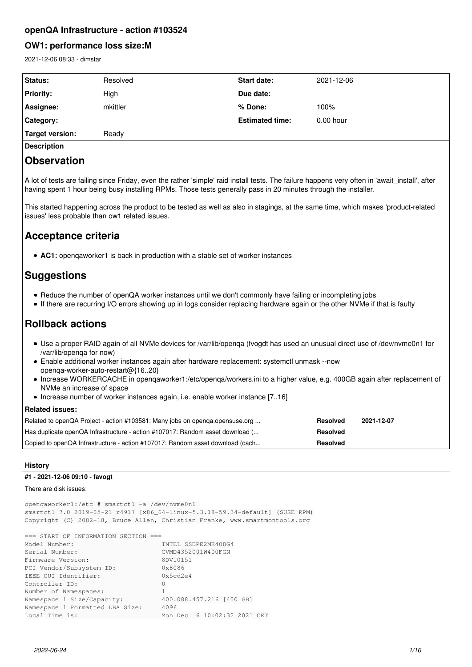## **openQA Infrastructure - action #103524**

## **OW1: performance loss size:M**

2021-12-06 08:33 - dimstar

| <b>Status:</b>   | Resolved | <b>Start date:</b>     | 2021-12-06  |
|------------------|----------|------------------------|-------------|
| <b>Priority:</b> | High     | Due date:              |             |
| Assignee:        | mkittler | l% Done:               | 100%        |
| Category:        |          | <b>Estimated time:</b> | $0.00$ hour |
| Target version:  | Ready    |                        |             |
|                  |          |                        |             |

**Description**

## **Observation**

A lot of tests are failing since Friday, even the rather 'simple' raid install tests. The failure happens very often in 'await install', after having spent 1 hour being busy installing RPMs. Those tests generally pass in 20 minutes through the installer.

This started happening across the product to be tested as well as also in stagings, at the same time, which makes 'product-related issues' less probable than ow1 related issues.

# **Acceptance criteria**

**AC1:** openqaworker1 is back in production with a stable set of worker instances

# **Suggestions**

- Reduce the number of openQA worker instances until we don't commonly have failing or incompleting jobs
- If there are recurring I/O errors showing up in logs consider replacing hardware again or the other NVMe if that is faulty

# **Rollback actions**

- Use a proper RAID again of all NVMe devices for /var/lib/openqa (fvogdt has used an unusual direct use of /dev/nvme0n1 for /var/lib/openqa for now)
- Enable additional worker instances again after hardware replacement: systemctl unmask --now openqa-worker-auto-restart@{16..20}
- Increase WORKERCACHE in openqaworker1:/etc/openqa/workers.ini to a higher value, e.g. 400GB again after replacement of NVMe an increase of space
- Increase number of worker instances again, i.e. enable worker instance [7..16]

## **Related issues:**

| Related to openQA Project - action #103581: Many jobs on openga.opensuse.org  | Resolved        | 2021-12-07 |
|-------------------------------------------------------------------------------|-----------------|------------|
| Has duplicate openQA Infrastructure - action #107017: Random asset download ( | <b>Resolved</b> |            |
| Copied to openQA Infrastructure - action #107017: Random asset download (cach | <b>Resolved</b> |            |

## **History**

## **#1 - 2021-12-06 09:10 - favogt**

## There are disk issues:

openqaworker1:/etc # smartctl -a /dev/nvme0n1 smartctl 7.0 2019-05-21 r4917 [x86\_64-linux-5.3.18-59.34-default] (SUSE RPM) Copyright (C) 2002-18, Bruce Allen, Christian Franke, www.smartmontools.org

| $==$ START OF INFORMATION SECTION $==$ |
|----------------------------------------|
| INTEL SSDPE2ME400G4                    |
| CVMD4352001W400FGN                     |
| 8DV10151                               |
| 0x8086                                 |
| 0x5cd2e4                               |
| 0                                      |
|                                        |
| 400.088.457.216 [400 GB]               |
| 4096                                   |
| Mon Dec 6 10:02:32 2021 CET            |
|                                        |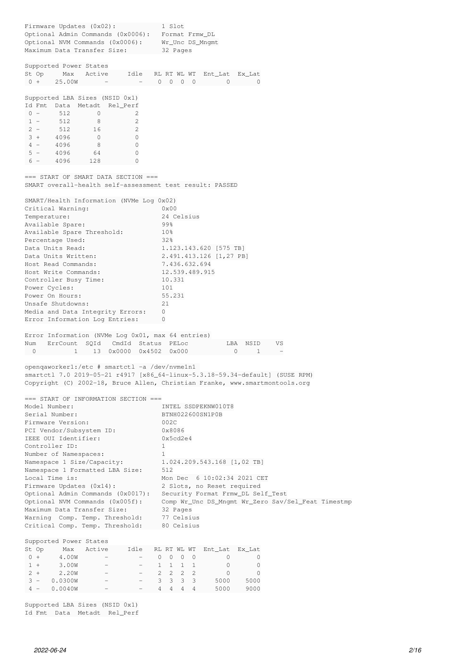| Firmware Updates (0x02):<br>Optional Admin Commands (0x0006):<br>Optional NVM Commands (0x0006):<br>Maximum Data Transfer Size:                                                                                                                                                                                                                                                                                                                                                        | 1 Slot<br>Format Frmw_DL<br>Wr_Unc DS_Mnqmt<br>32 Pages                                                                                                                                                                                                                                                                          |
|----------------------------------------------------------------------------------------------------------------------------------------------------------------------------------------------------------------------------------------------------------------------------------------------------------------------------------------------------------------------------------------------------------------------------------------------------------------------------------------|----------------------------------------------------------------------------------------------------------------------------------------------------------------------------------------------------------------------------------------------------------------------------------------------------------------------------------|
| Supported Power States<br>St Op<br>Max<br>Active<br>Idle<br>$0 +$<br>25.00W                                                                                                                                                                                                                                                                                                                                                                                                            | RL RT WL WT<br>Ent_Lat<br>Ex Lat<br>$\circ$<br>0<br>$0\quad 0$<br>$\mathbf{0}$<br>0                                                                                                                                                                                                                                              |
| Supported LBA Sizes (NSID 0x1)<br>Id Fmt<br>Data<br>Metadt Rel_Perf<br>$0 -$<br>512<br>2<br>0<br>512<br>2<br>$1 -$<br>8<br>$2 -$<br>2<br>512<br>16<br>$3 +$<br>4096<br>$\circ$<br>$\mathbf{0}$<br>$4 -$<br>4096<br>$\mathbf{0}$<br>8<br>$5 -$<br>4096<br>64<br>0<br>128<br>0<br>$6 -$<br>4096                                                                                                                                                                                          |                                                                                                                                                                                                                                                                                                                                  |
| $==$ START OF SMART DATA SECTION $==$<br>SMART overall-health self-assessment test result: PASSED                                                                                                                                                                                                                                                                                                                                                                                      |                                                                                                                                                                                                                                                                                                                                  |
| SMART/Health Information (NVMe Log 0x02)<br>Critical Warning:<br>Temperature:<br>Available Spare:<br>Available Spare Threshold:<br>Percentage Used:<br>Data Units Read:<br>Data Units Written:<br>Host Read Commands:<br>Host Write Commands:<br>Controller Busy Time:<br>Power Cycles:<br>Power On Hours:<br>Unsafe Shutdowns:<br>Media and Data Integrity Errors:<br>Error Information Log Entries:                                                                                  | 0x00<br>24 Celsius<br>99%<br>10 <sub>8</sub><br>32%<br>1.123.143.620 [575 TB]<br>2.491.413.126 [1,27 PB]<br>7.436.632.694<br>12.539.489.915<br>10.331<br>101<br>55.231<br>21<br>0<br>0                                                                                                                                           |
| Error Information (NVMe Log 0x01, max 64 entries)<br>ErrCount<br>CmdId Status PELoc<br>Num<br>SQId<br>$1 \quad \blacksquare$<br>13 0x0000 0x4502<br>0                                                                                                                                                                                                                                                                                                                                  | LBA<br>NSID<br>VS<br>0x000<br>0<br>1                                                                                                                                                                                                                                                                                             |
| openqaworker1:/etc # smartctl -a /dev/nvme1n1                                                                                                                                                                                                                                                                                                                                                                                                                                          | smartctl 7.0 2019-05-21 r4917 [x86_64-linux-5.3.18-59.34-default] (SUSE RPM)<br>Copyright (C) 2002-18, Bruce Allen, Christian Franke, www.smartmontools.org                                                                                                                                                                      |
| === START OF INFORMATION SECTION ===<br>Model Number:<br>Serial Number:<br>Firmware Version:<br>PCI Vendor/Subsystem ID:<br>IEEE OUI Identifier:<br>Controller ID:<br>Number of Namespaces:<br>Namespace 1 Size/Capacity:<br>Namespace 1 Formatted LBA Size:<br>Local Time is:<br>Firmware Updates (0x14):<br>Optional Admin Commands (0x0017):<br>Optional NVM Commands (0x005f):<br>Maximum Data Transfer Size:<br>Warning Comp. Temp. Threshold:<br>Critical Comp. Temp. Threshold: | INTEL SSDPEKNW010T8<br>BTNH022600SN1P0B<br>002C<br>0x8086<br>0x5cd2e4<br>1<br>1.<br>1.024.209.543.168 [1,02 TB]<br>512<br>Mon Dec 6 10:02:34 2021 CET<br>2 Slots, no Reset required<br>Security Format Frmw_DL Self_Test<br>Comp Wr_Unc DS_Mngmt Wr_Zero Sav/Sel_Feat Timestmp<br>32 Pages<br>77 Celsius<br>80 Celsius           |
| Supported Power States<br>St Op<br>Max<br>Active<br>Idle<br>$0 +$<br>4.00W<br>$1 +$<br>3.00W<br>$\overline{\phantom{0}}$<br>$2 +$<br>2.20W<br>$3 -$<br>0.0300W<br>0.0040W<br>$4 -$                                                                                                                                                                                                                                                                                                     | RL RT WL WT<br>Ent_Lat<br>Ex_Lat<br>$\mathbf{0}$<br>$\circ$<br>$\mathbf{0}$<br>$\mathbf{0}$<br>$\circ$<br>0<br>$\mathbf{1}$<br>1<br>$\mathbf{1}$<br>0<br>0<br>$\mathbf{1}$<br>$\mathbf{2}^{\prime}$<br>$\overline{2}$<br>2<br>2<br>0<br>0<br>3<br>3<br>3<br>- 3<br>5000<br>5000<br>4<br>4<br>$4\phantom{0}$<br>4<br>5000<br>9000 |

Supported LBA Sizes (NSID 0x1) Id Fmt Data Metadt Rel\_Perf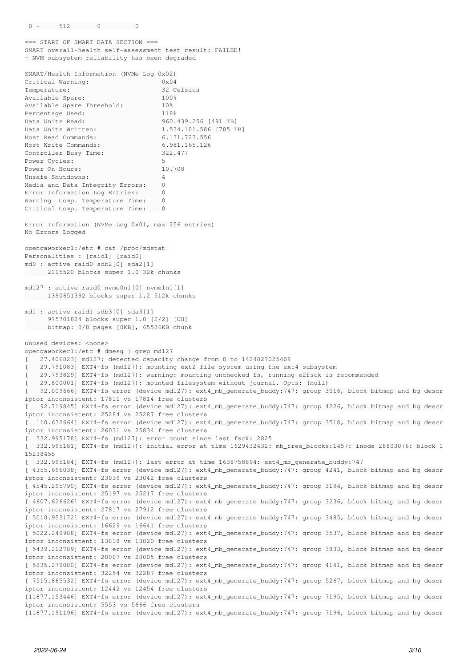```
=== START OF SMART DATA SECTION ===
SMART overall-health self-assessment test result: FAILED!
- NVM subsystem reliability has been degraded
SMART/Health Information (NVMe Log 0x02)
Critical Warning: 0x04
Temperature:                        32 Celsius
Available Spare: 100%
Available Spare Threshold: 10%
Percentage Used: 118%
Data Units Read: 360.439.256 [491 TB]
Data Units Written: 1.534.101.586 [785 TB]
Host Read Commands:                 6.131.723.556
Host Write Commands:                6.981.165.126
Controller Busy Time: 322.477
Power Cycles: 5
Power On Hours: 10.708
Unsafe Shutdowns: 4
Media and Data Integrity Errors: 0
Error Information Log Entries: 0
Warning Comp. Temperature Time: 0
Critical Comp. Temperature Time: 0
Error Information (NVMe Log 0x01, max 256 entries)
No Errors Logged
openqaworker1:/etc # cat /proc/mdstat 
Personalities : [raid1] [raid0] 
md0 : active raid0 sdb2[0] sda2[1]
      2115520 blocks super 1.0 32k chunks
md127 : active raid0 nvme0n1[0] nvme1n1[1]
       1390651392 blocks super 1.2 512k chunks
md1 : active raid1 sdb3[0] sda3[1]
           975701824 blocks super 1.0 [2/2] [UU]
          bitmap: 0/8 pages [0KB], 65536KB chunk
unused devices: <none>
openqaworker1:/etc # dmesg | grep md127
   [   27.406823] md127: detected capacity change from 0 to 1424027025408
   [   29.791083] EXT4-fs (md127): mounting ext2 file system using the ext4 subsystem
   [   29.793829] EXT4-fs (md127): warning: mounting unchecked fs, running e2fsck is recommended
[   29.800001] EXT4-fs (md127): mounted filesystem without journal. Opts: (null)
   [   92.009666] EXT4-fs error (device md127): ext4_mb_generate_buddy:747: group 3516, block bitmap and bg descr
iptor inconsistent: 17811 vs 17814 free clusters
[   92.719845] EXT4-fs error (device md127): ext4_mb_generate_buddy:747: group 4226, block bitmap and bg descr
iptor inconsistent: 25284 vs 25287 free clusters
[  110.632664] EXT4-fs error (device md127): ext4_mb_generate_buddy:747: group 3518, block bitmap and bg descr
iptor inconsistent: 26031 vs 25834 free clusters
[  332.995178] EXT4-fs (md127): error count since last fsck: 2825
 [  332.995181] EXT4-fs (md127): initial error at time 1629432432: mb_free_blocks:1457: inode 28803076: block 1
15238455
[  332.995184] EXT4-fs (md127): last error at time 1638758894: ext4_mb_generate_buddy:747
[ 4355.696038] EXT4-fs error (device md127): ext4_mb_generate_buddy:747: group 4241, block bitmap and bg descr
iptor inconsistent: 23039 vs 23042 free clusters
[ 4545.295790] EXT4-fs error (device md127): ext4_mb_generate_buddy:747: group 3194, block bitmap and bg descr
iptor inconsistent: 25197 vs 25217 free clusters
[ 4607.626626] EXT4-fs error (device md127): ext4_mb_generate_buddy:747: group 3236, block bitmap and bg descr
iptor inconsistent: 27817 vs 27912 free clusters
[ 5010.953172] EXT4-fs error (device md127): ext4_mb_generate_buddy:747: group 3485, block bitmap and bg descr
iptor inconsistent: 16629 vs 16641 free clusters
[ 5022.249988] EXT4-fs error (device md127): ext4_mb_generate_buddy:747: group 3537, block bitmap and bg descr
iptor inconsistent: 13818 vs 13820 free clusters
[ 5439.212789] EXT4-fs error (device md127): ext4_mb_generate_buddy:747: group 3833, block bitmap and bg descr
iptor inconsistent: 28007 vs 28005 free clusters
[ 5835.279080] EXT4-fs error (device md127): ext4_mb_generate_buddy:747: group 4141, block bitmap and bg descr
iptor inconsistent: 32254 vs 32287 free clusters
[ 7515.865532] EXT4-fs error (device md127): ext4_mb_generate_buddy:747: group 5267, block bitmap and bg descr
iptor inconsistent: 12442 vs 12454 free clusters
[11877.153446] EXT4-fs error (device md127): ext4_mb_generate_buddy:747: group 7195, block bitmap and bg descr
iptor inconsistent: 5553 vs 5666 free clusters
```

```
[11877.191196] EXT4-fs error (device md127): ext4_mb_generate_buddy:747: group 7196, block bitmap and bg descr
```
 $0 + 512$  0 0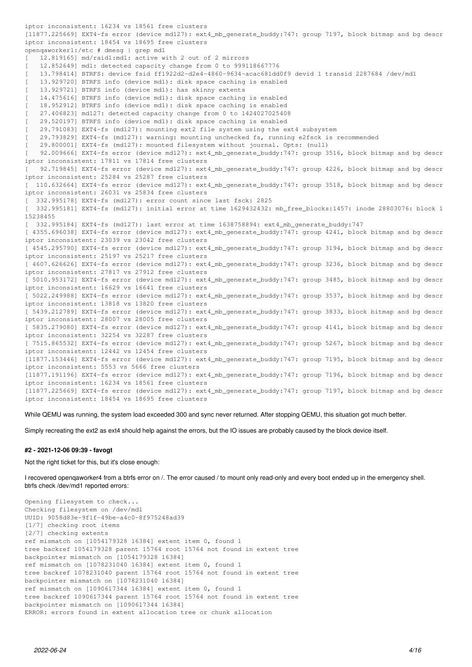iptor inconsistent: 16234 vs 18561 free clusters [11877.225669] EXT4-fs error (device md127): ext4\_mb\_generate\_buddy:747: group 7197, block bitmap and bg descr iptor inconsistent: 18454 vs 18695 free clusters openqaworker1:/etc # dmesg | grep md1 [ 12.819165] md/raid1:md1: active with 2 out of 2 mirrors [ 12.852649] md1: detected capacity change from 0 to 999118667776 [ 13.798414] BTRFS: device fsid ff1922d2-d2e4-4860-9634-acac681dd0f9 devid 1 transid 2287684 /dev/md1 [ 13.929720] BTRFS info (device md1): disk space caching is enabled [ 13.929721] BTRFS info (device md1): has skinny extents [ 14.475616] BTRFS info (device md1): disk space caching is enabled 18.952912] BTRFS info (device md1): disk space caching is enabled [ 27.406823] md127: detected capacity change from 0 to 1424027025408 [ 29.520197] BTRFS info (device md1): disk space caching is enabled [ 29.791083] EXT4-fs (md127): mounting ext2 file system using the ext4 subsystem [ 29.793829] EXT4-fs (md127): warning: mounting unchecked fs, running e2fsck is recommended [ 29.800001] EXT4-fs (md127): mounted filesystem without journal. Opts: (null) [ 92.009666] EXT4-fs error (device md127): ext4\_mb\_generate\_buddy:747: group 3516, block bitmap and bg descr iptor inconsistent: 17811 vs 17814 free clusters [ 92.719845] EXT4-fs error (device md127): ext4\_mb\_generate\_buddy:747: group 4226, block bitmap and bg descr iptor inconsistent: 25284 vs 25287 free clusters [ 110.632664] EXT4-fs error (device md127): ext4\_mb\_generate\_buddy:747: group 3518, block bitmap and bg descr iptor inconsistent: 26031 vs 25834 free clusters [ 332.995178] EXT4-fs (md127): error count since last fsck: 2825 [ 332.995181] EXT4-fs (md127): initial error at time 1629432432: mb\_free\_blocks:1457: inode 28803076: block 1 15238455 [ 332.995184] EXT4-fs (md127): last error at time 1638758894: ext4\_mb\_generate\_buddy:747 [ 4355.696038] EXT4-fs error (device md127): ext4\_mb\_generate\_buddy:747: group 4241, block bitmap and bg descr iptor inconsistent: 23039 vs 23042 free clusters [ 4545.295790] EXT4-fs error (device md127): ext4\_mb\_generate\_buddy:747: group 3194, block bitmap and bg descr iptor inconsistent: 25197 vs 25217 free clusters [ 4607.626626] EXT4-fs error (device md127): ext4\_mb\_generate\_buddy:747: group 3236, block bitmap and bg descr iptor inconsistent: 27817 vs 27912 free clusters [ 5010.953172] EXT4-fs error (device md127): ext4\_mb\_generate\_buddy:747: group 3485, block bitmap and bg descr iptor inconsistent: 16629 vs 16641 free clusters [ 5022.249988] EXT4-fs error (device md127): ext4\_mb\_generate\_buddy:747: group 3537, block bitmap and bg descr iptor inconsistent: 13818 vs 13820 free clusters [ 5439.212789] EXT4-fs error (device md127): ext4 mb generate buddy:747: group 3833, block bitmap and bg descr iptor inconsistent: 28007 vs 28005 free clusters [ 5835.279080] EXT4-fs error (device md127): ext4\_mb\_generate\_buddy:747: group 4141, block bitmap and bg descr iptor inconsistent: 32254 vs 32287 free clusters [ 7515.865532] EXT4-fs error (device md127): ext4\_mb\_generate\_buddy:747: group 5267, block bitmap and bg descr iptor inconsistent: 12442 vs 12454 free clusters [11877.153446] EXT4-fs error (device md127): ext4\_mb\_generate\_buddy:747: group 7195, block bitmap and bg descr iptor inconsistent: 5553 vs 5666 free clusters [11877.191196] EXT4-fs error (device md127): ext4\_mb\_generate\_buddy:747: group 7196, block bitmap and bg descr iptor inconsistent: 16234 vs 18561 free clusters [11877.225669] EXT4-fs error (device md127): ext4\_mb\_generate\_buddy:747: group 7197, block bitmap and bg descr iptor inconsistent: 18454 vs 18695 free clusters

While QEMU was running, the system load exceeded 300 and sync never returned. After stopping QEMU, this situation got much better.

Simply recreating the ext2 as ext4 should help against the errors, but the IO issues are probably caused by the block device itself.

## **#2 - 2021-12-06 09:39 - favogt**

Not the right ticket for this, but it's close enough:

I recovered openqaworker4 from a btrfs error on /. The error caused / to mount only read-only and every boot ended up in the emergency shell. btrfs check /dev/md1 reported errors:

```
Opening filesystem to check...
Checking filesystem on /dev/md1
UUID: 9058d83e-9f1f-49be-a4c0-8f975248ad39
[1/7] checking root items
[2/7] checking extents
ref mismatch on [1054179328 16384] extent item 0, found 1
tree backref 1054179328 parent 15764 root 15764 not found in extent tree
backpointer mismatch on [1054179328 16384]
ref mismatch on [1078231040 16384] extent item 0, found 1
tree backref 1078231040 parent 15764 root 15764 not found in extent tree
backpointer mismatch on [1078231040 16384]
ref mismatch on [1090617344 16384] extent item 0, found 1
tree backref 1090617344 parent 15764 root 15764 not found in extent tree
backpointer mismatch on [1090617344 16384]
ERROR: errors found in extent allocation tree or chunk allocation
```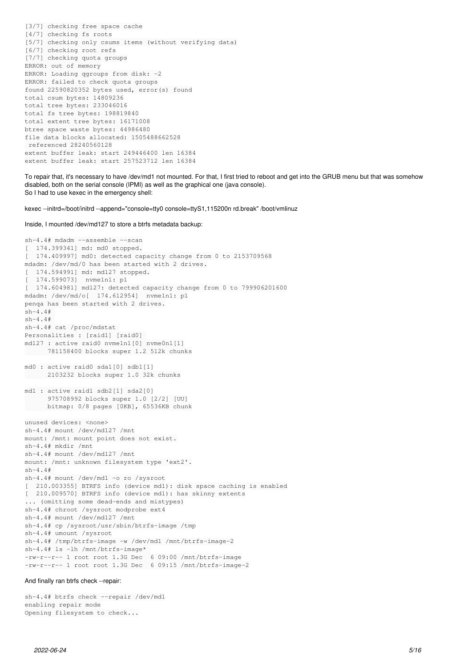[3/7] checking free space cache [4/7] checking fs roots [5/7] checking only csums items (without verifying data) [6/7] checking root refs [7/7] checking quota groups ERROR: out of memory ERROR: Loading qgroups from disk: -2 ERROR: failed to check quota groups found 22590820352 bytes used, error(s) found total csum bytes: 14809236 total tree bytes: 233046016 total fs tree bytes: 198819840 total extent tree bytes: 16171008 btree space waste bytes: 44986480 file data blocks allocated: 1505488662528 referenced 28240560128 extent buffer leak: start 249446400 len 16384 extent buffer leak: start 257523712 len 16384

To repair that, it's necessary to have /dev/md1 not mounted. For that, I first tried to reboot and get into the GRUB menu but that was somehow disabled, both on the serial console (IPMI) as well as the graphical one (java console). So I had to use kexec in the emergency shell:

kexec --initrd=/boot/initrd --append="console=tty0 console=ttyS1,115200n rd.break" /boot/vmlinuz

Inside, I mounted /dev/md127 to store a btrfs metadata backup:

sh-4.4# mdadm --assemble --scan [ 174.399341] md: md0 stopped. [ 174.409997] md0: detected capacity change from 0 to 2153709568 mdadm: /dev/md/0 has been started with 2 drives. [ 174.594991] md: md127 stopped. [ 174.599073] nvme1n1: p1 [ 174.604981] md127: detected capacity change from 0 to 799906201600 mdadm: /dev/md/o[ 174.612954] nvme1n1: p1 penqa has been started with 2 drives.  $sh-4.4#$  $sh-4.4#$ sh-4.4# cat /proc/mdstat Personalities : [raid1] [raid0] md127 : active raid0 nvme1n1[0] nvme0n1[1] 781158400 blocks super 1.2 512k chunks md0 : active raid0 sda1[0] sdb1[1] 2103232 blocks super 1.0 32k chunks md1 : active raid1 sdb2[1] sda2[0] 975708992 blocks super 1.0 [2/2] [UU] bitmap: 0/8 pages [0KB], 65536KB chunk unused devices: <none> sh-4.4# mount /dev/md127 /mnt mount: /mnt: mount point does not exist. sh-4.4# mkdir /mnt sh-4.4# mount /dev/md127 /mnt mount: /mnt: unknown filesystem type 'ext2'.  $sh-4.4#$ sh-4.4# mount /dev/md1 -o ro /sysroot [ 210.003355] BTRFS info (device md1): disk space caching is enabled [ 210.009570] BTRFS info (device md1): has skinny extents ... (omitting some dead-ends and mistypes) sh-4.4# chroot /sysroot modprobe ext4 sh-4.4# mount /dev/md127 /mnt sh-4.4# cp /sysroot/usr/sbin/btrfs-image /tmp sh-4.4# umount /sysroot sh-4.4# /tmp/btrfs-image -w /dev/md1 /mnt/btrfs-image-2 sh-4.4# ls -lh /mnt/btrfs-image\* -rw-r--r-- 1 root root 1.3G Dec 6 09:00 /mnt/btrfs-image -rw-r--r-- 1 root root 1.3G Dec 6 09:15 /mnt/btrfs-image-2

#### And finally ran btrfs check --repair:

sh-4.4# btrfs check --repair /dev/md1 enabling repair mode Opening filesystem to check...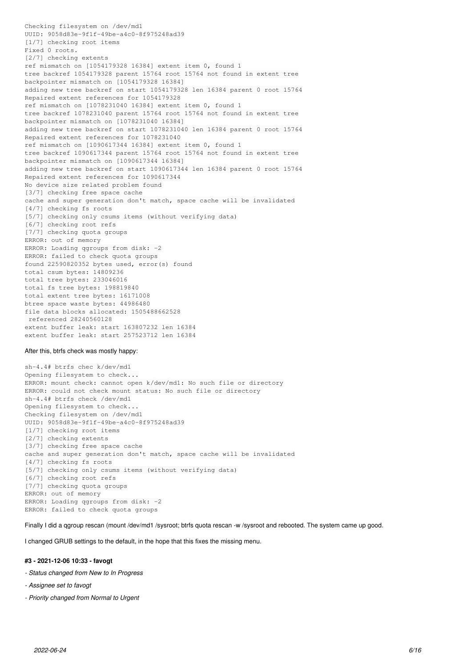Checking filesystem on /dev/md1 UUID: 9058d83e-9f1f-49be-a4c0-8f975248ad39 [1/7] checking root items Fixed 0 roots. [2/7] checking extents ref mismatch on [1054179328 16384] extent item 0, found 1 tree backref 1054179328 parent 15764 root 15764 not found in extent tree backpointer mismatch on [1054179328 16384] adding new tree backref on start 1054179328 len 16384 parent 0 root 15764 Repaired extent references for 1054179328 ref mismatch on [1078231040 16384] extent item 0, found 1 tree backref 1078231040 parent 15764 root 15764 not found in extent tree backpointer mismatch on [1078231040 16384] adding new tree backref on start 1078231040 len 16384 parent 0 root 15764 Repaired extent references for 1078231040 ref mismatch on [1090617344 16384] extent item 0, found 1 tree backref 1090617344 parent 15764 root 15764 not found in extent tree backpointer mismatch on [1090617344 16384] adding new tree backref on start 1090617344 len 16384 parent 0 root 15764 Repaired extent references for 1090617344 No device size related problem found [3/7] checking free space cache cache and super generation don't match, space cache will be invalidated [4/7] checking fs roots [5/7] checking only csums items (without verifying data) [6/7] checking root refs [7/7] checking quota groups ERROR: out of memory ERROR: Loading qgroups from disk: -2 ERROR: failed to check quota groups found 22590820352 bytes used, error(s) found total csum bytes: 14809236 total tree bytes: 233046016 total fs tree bytes: 198819840 total extent tree bytes: 16171008 btree space waste bytes: 44986480 file data blocks allocated: 1505488662528 referenced 28240560128 extent buffer leak: start 163807232 len 16384 extent buffer leak: start 257523712 len 16384

## After this, btrfs check was mostly happy:

sh-4.4# btrfs chec k/dev/md1 Opening filesystem to check... ERROR: mount check: cannot open k/dev/md1: No such file or directory ERROR: could not check mount status: No such file or directory sh-4.4# btrfs check /dev/md1 Opening filesystem to check... Checking filesystem on /dev/md1 UUID: 9058d83e-9f1f-49be-a4c0-8f975248ad39 [1/7] checking root items [2/7] checking extents [3/7] checking free space cache cache and super generation don't match, space cache will be invalidated [4/7] checking fs roots [5/7] checking only csums items (without verifying data) [6/7] checking root refs [7/7] checking quota groups ERROR: out of memory ERROR: Loading qgroups from disk: -2 ERROR: failed to check quota groups

Finally I did a qgroup rescan (mount /dev/md1 /sysroot; btrfs quota rescan -w /sysroot and rebooted. The system came up good.

I changed GRUB settings to the default, in the hope that this fixes the missing menu.

## **#3 - 2021-12-06 10:33 - favogt**

- *Status changed from New to In Progress*
- *Assignee set to favogt*
- *Priority changed from Normal to Urgent*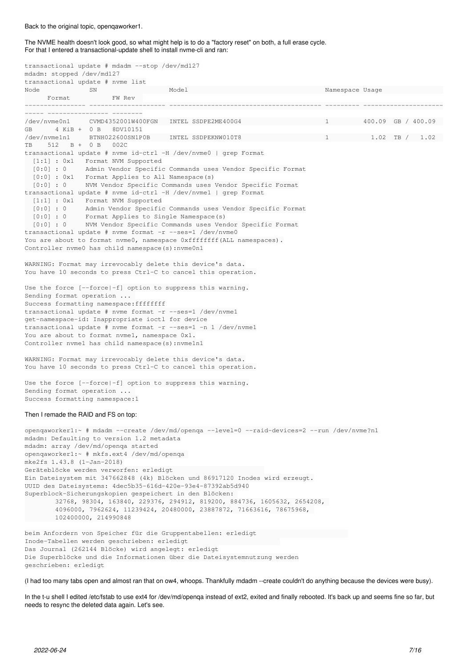#### Back to the original topic, openqaworker1.

The NVME health doesn't look good, so what might help is to do a "factory reset" on both, a full erase cycle. For that I entered a transactional-update shell to install nvme-cli and ran:

transactional update # mdadm --stop /dev/md127 mdadm: stopped /dev/md127 transactional update # nvme list Node SN Model Namespace Usage Format FW Rev ---------------- -------------------- ---------------------------------------- --------- --------------------- ----- ---------------- -------- /dev/nvme0n1 CVMD4352001W400FGN INTEL SSDPE2ME400G4 1 400.09 GB / 400.09 GB 4 KiB + 0 B 8DV10151 /dev/nvme1n1 BTNH022600SN1P0B INTEL SSDPEKNW010T8 1 1.02 TB / 1.02 TB 512 B + 0 B 002C transactional update # nvme id-ctrl -H /dev/nvme0 | grep Format [1:1] : 0x1 Format NVM Supported [0:0] : 0 Admin Vendor Specific Commands uses Vendor Specific Format [0:0] : 0x1 Format Applies to All Namespace(s) [0:0] : 0 NVM Vendor Specific Commands uses Vendor Specific Format transactional update # nvme id-ctrl -H /dev/nvme1 | grep Format [1:1] : 0x1 Format NVM Supported [0:0] : 0 Admin Vendor Specific Commands uses Vendor Specific Format [0:0] : 0 Format Applies to Single Namespace(s) [0:0] : 0 NVM Vendor Specific Commands uses Vendor Specific Format transactional update # nvme format -r --ses=1 /dev/nvme0 You are about to format nyme0, namespace 0xfffffffff(ALL namespaces). Controller nvme0 has child namespace(s):nvme0n1 WARNING: Format may irrevocably delete this device's data. You have 10 seconds to press Ctrl-C to cancel this operation. Use the force [--force|-f] option to suppress this warning. Sending format operation ... Success formatting namespace:ffffffff transactional update # nvme format -r --ses=1 /dev/nvme1 get-namespace-id: Inappropriate ioctl for device transactional update # nvme format -r --ses=1 -n 1 /dev/nvme1 You are about to format nvmel, namespace  $0x1$ . Controller nvme1 has child namespace(s):nvme1n1 WARNING: Format may irrevocably delete this device's data. You have 10 seconds to press Ctrl-C to cancel this operation. Use the force [--force|-f] option to suppress this warning. Sending format operation ... Success formatting namespace:1 Then I remade the RAID and FS on top: openqaworker1:~ # mdadm --create /dev/md/openqa --level=0 --raid-devices=2 --run /dev/nvme?n1 mdadm: Defaulting to version 1.2 metadata mdadm: array /dev/md/openqa started openqaworker1:~ # mkfs.ext4 /dev/md/openqa mke2fs 1.43.8 (1-Jan-2018) Geräteblöcke werden verworfen: erledigt Ein Dateisystem mit 347662848 (4k) Blöcken und 86917120 Inodes wird erzeugt. UUID des Dateisystems: 4dec5b35-616d-420e-93e4-87392ab5d940 Superblock-Sicherungskopien gespeichert in den Blöcken: 32768, 98304, 163840, 229376, 294912, 819200, 884736, 1605632, 2654208, 4096000, 7962624, 11239424, 20480000, 23887872, 71663616, 78675968, 102400000, 214990848 beim Anfordern von Speicher für die Gruppentabellen: erledigt Inode-Tabellen werden geschrieben: erledigt Das Journal (262144 Blöcke) wird angelegt: erledigt Die Superblöcke und die Informationen über die Dateisystemnutzung werden geschrieben: erledigt

(I had too many tabs open and almost ran that on ow4, whoops. Thankfully mdadm --create couldn't do anything because the devices were busy).

In the t-u shell I edited /etc/fstab to use ext4 for /dev/md/openqa instead of ext2, exited and finally rebooted. It's back up and seems fine so far, but needs to resync the deleted data again. Let's see.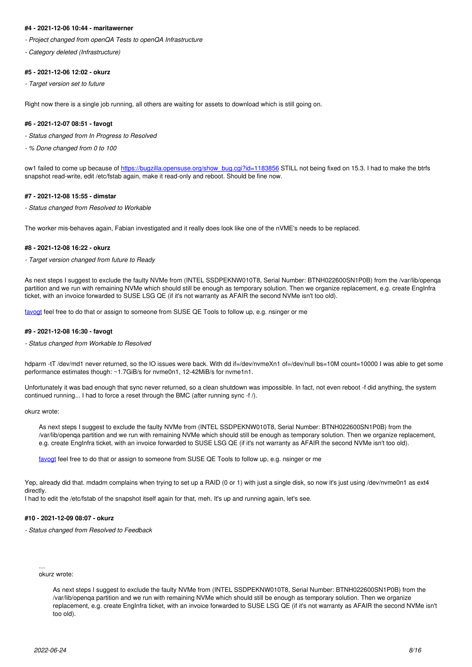## **#4 - 2021-12-06 10:44 - maritawerner**

*- Project changed from openQA Tests to openQA Infrastructure*

*- Category deleted (Infrastructure)*

## **#5 - 2021-12-06 12:02 - okurz**

*- Target version set to future*

Right now there is a single job running, all others are waiting for assets to download which is still going on.

#### **#6 - 2021-12-07 08:51 - favogt**

- *Status changed from In Progress to Resolved*
- *% Done changed from 0 to 100*

ow1 failed to come up because of [https://bugzilla.opensuse.org/show\\_bug.cgi?id=1183856](https://bugzilla.opensuse.org/show_bug.cgi?id=1183856) STILL not being fixed on 15.3. I had to make the btrfs snapshot read-write, edit /etc/fstab again, make it read-only and reboot. Should be fine now.

## **#7 - 2021-12-08 15:55 - dimstar**

*- Status changed from Resolved to Workable*

The worker mis-behaves again, Fabian investigated and it really does look like one of the nVME's needs to be replaced.

## **#8 - 2021-12-08 16:22 - okurz**

*- Target version changed from future to Ready*

As next steps I suggest to exclude the faulty NVMe from (INTEL SSDPEKNW010T8, Serial Number: BTNH022600SN1P0B) from the /var/lib/openqa partition and we run with remaining NVMe which should still be enough as temporary solution. Then we organize replacement, e.g. create EngInfra ticket, with an invoice forwarded to SUSE LSG QE (if it's not warranty as AFAIR the second NVMe isn't too old).

[favogt](progress.opensuse.org/users/20030) feel free to do that or assign to someone from SUSE QE Tools to follow up, e.g. nsinger or me

#### **#9 - 2021-12-08 16:30 - favogt**

*- Status changed from Workable to Resolved*

hdparm -tT /dev/md1 never returned, so the IO issues were back. With dd if=/dev/nvmeXn1 of=/dev/null bs=10M count=10000 I was able to get some performance estimates though: ~1.7GiB/s for nvme0n1, 12-42MiB/s for nvme1n1.

Unfortunately it was bad enough that sync never returned, so a clean shutdown was impossible. In fact, not even reboot -f did anything, the system continued running... I had to force a reset through the BMC (after running sync -f /).

okurz wrote:

As next steps I suggest to exclude the faulty NVMe from (INTEL SSDPEKNW010T8, Serial Number: BTNH022600SN1P0B) from the /var/lib/openqa partition and we run with remaining NVMe which should still be enough as temporary solution. Then we organize replacement, e.g. create EngInfra ticket, with an invoice forwarded to SUSE LSG QE (if it's not warranty as AFAIR the second NVMe isn't too old).

[favogt](progress.opensuse.org/users/20030) feel free to do that or assign to someone from SUSE QE Tools to follow up, e.g. nsinger or me

Yep, already did that, mdadm complains when trying to set up a RAID (0 or 1) with just a single disk, so now it's just using /dev/nyme0n1 as ext4 directly.

I had to edit the /etc/fstab of the snapshot itself again for that, meh. It's up and running again, let's see.

## **#10 - 2021-12-09 08:07 - okurz**

*- Status changed from Resolved to Feedback*

#### … okurz wrote:

As next steps I suggest to exclude the faulty NVMe from (INTEL SSDPEKNW010T8, Serial Number: BTNH022600SN1P0B) from the /var/lib/openqa partition and we run with remaining NVMe which should still be enough as temporary solution. Then we organize replacement, e.g. create EngInfra ticket, with an invoice forwarded to SUSE LSG QE (if it's not warranty as AFAIR the second NVMe isn't too old).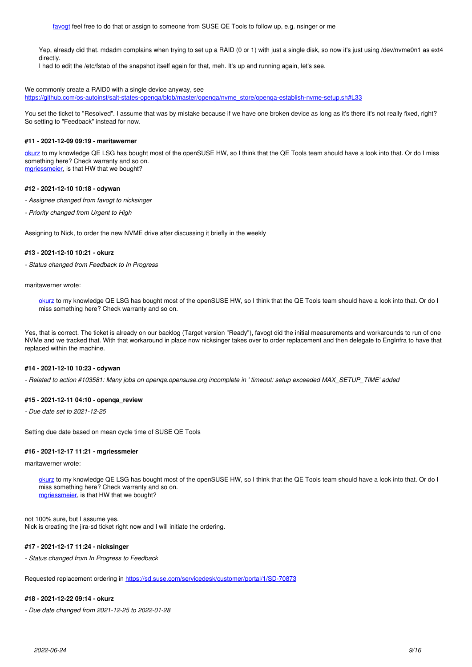Yep, already did that. mdadm complains when trying to set up a RAID (0 or 1) with just a single disk, so now it's just using /dev/nvme0n1 as ext4 directly.

I had to edit the /etc/fstab of the snapshot itself again for that, meh. It's up and running again, let's see.

## We commonly create a RAID0 with a single device anyway, see

[https://github.com/os-autoinst/salt-states-openqa/blob/master/openqa/nvme\\_store/openqa-establish-nvme-setup.sh#L33](https://github.com/os-autoinst/salt-states-openqa/blob/master/openqa/nvme_store/openqa-establish-nvme-setup.sh#L33)

You set the ticket to "Resolved". I assume that was by mistake because if we have one broken device as long as it's there it's not really fixed, right? So setting to "Feedback" instead for now.

#### **#11 - 2021-12-09 09:19 - maritawerner**

[okurz](progress.opensuse.org/users/17668) to my knowledge QE LSG has bought most of the openSUSE HW, so I think that the QE Tools team should have a look into that. Or do I miss something here? Check warranty and so on. [mgriessmeier](progress.opensuse.org/users/15418), is that HW that we bought?

#### **#12 - 2021-12-10 10:18 - cdywan**

- *Assignee changed from favogt to nicksinger*
- *Priority changed from Urgent to High*

Assigning to Nick, to order the new NVME drive after discussing it briefly in the weekly

#### **#13 - 2021-12-10 10:21 - okurz**

*- Status changed from Feedback to In Progress*

maritawerner wrote:

[okurz](progress.opensuse.org/users/17668) to my knowledge QE LSG has bought most of the openSUSE HW, so I think that the QE Tools team should have a look into that. Or do I miss something here? Check warranty and so on.

Yes, that is correct. The ticket is already on our backlog (Target version "Ready"), favogt did the initial measurements and workarounds to run of one NVMe and we tracked that. With that workaround in place now nicksinger takes over to order replacement and then delegate to EngInfra to have that replaced within the machine.

## **#14 - 2021-12-10 10:23 - cdywan**

*- Related to action #103581: Many jobs on openqa.opensuse.org incomplete in ' timeout: setup exceeded MAX\_SETUP\_TIME' added*

#### **#15 - 2021-12-11 04:10 - openqa\_review**

*- Due date set to 2021-12-25*

Setting due date based on mean cycle time of SUSE QE Tools

#### **#16 - 2021-12-17 11:21 - mgriessmeier**

maritawerner wrote:

[okurz](progress.opensuse.org/users/17668) to my knowledge QE LSG has bought most of the openSUSE HW, so I think that the QE Tools team should have a look into that. Or do I miss something here? Check warranty and so on. [mgriessmeier,](progress.opensuse.org/users/15418) is that HW that we bought?

not 100% sure, but I assume yes. Nick is creating the jira-sd ticket right now and I will initiate the ordering.

#### **#17 - 2021-12-17 11:24 - nicksinger**

*- Status changed from In Progress to Feedback*

Requested replacement ordering in<https://sd.suse.com/servicedesk/customer/portal/1/SD-70873>

#### **#18 - 2021-12-22 09:14 - okurz**

*- Due date changed from 2021-12-25 to 2022-01-28*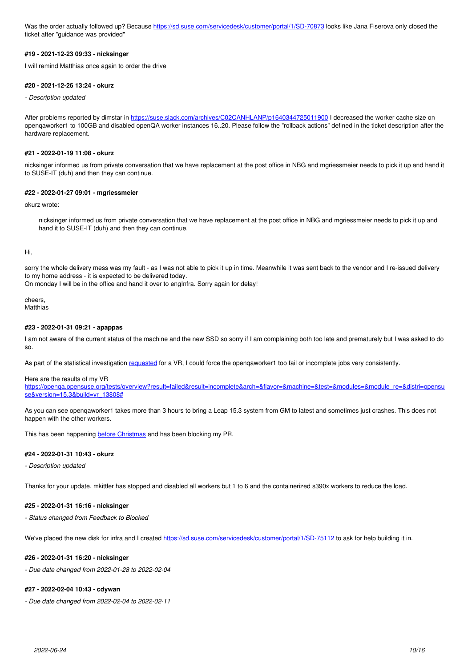Was the order actually followed up? Because<https://sd.suse.com/servicedesk/customer/portal/1/SD-70873> looks like Jana Fiserova only closed the ticket after "guidance was provided"

## **#19 - 2021-12-23 09:33 - nicksinger**

I will remind Matthias once again to order the drive

#### **#20 - 2021-12-26 13:24 - okurz**

*- Description updated*

After problems reported by dimstar in<https://suse.slack.com/archives/C02CANHLANP/p1640344725011900> I decreased the worker cache size on openqaworker1 to 100GB and disabled openQA worker instances 16..20. Please follow the "rollback actions" defined in the ticket description after the hardware replacement.

## **#21 - 2022-01-19 11:08 - okurz**

nicksinger informed us from private conversation that we have replacement at the post office in NBG and mgriessmeier needs to pick it up and hand it to SUSE-IT (duh) and then they can continue.

## **#22 - 2022-01-27 09:01 - mgriessmeier**

okurz wrote:

nicksinger informed us from private conversation that we have replacement at the post office in NBG and mgriessmeier needs to pick it up and hand it to SUSE-IT (duh) and then they can continue.

#### Hi,

sorry the whole delivery mess was my fault - as I was not able to pick it up in time. Meanwhile it was sent back to the vendor and I re-issued delivery to my home address - it is expected to be delivered today.

On monday I will be in the office and hand it over to engInfra. Sorry again for delay!

cheers, **Matthias** 

## **#23 - 2022-01-31 09:21 - apappas**

I am not aware of the current status of the machine and the new SSD so sorry if I am complaining both too late and prematurely but I was asked to do so.

As part of the statistical investigation [requested](https://github.com/os-autoinst/os-autoinst-distri-opensuse/pull/13808#issuecomment-1005855054) for a VR, I could force the openqaworker1 too fail or incomplete jobs very consistently.

#### Here are the results of my VR

https://openqa.opensuse.org/tests/overview?result=failed&result=incomplete&arch=&flavor=&machine=&test=&modules=&module re=&distri=opensu [se&version=15.3&build=vr\\_13808#](https://openqa.opensuse.org/tests/overview?result=failed&result=incomplete&arch=&flavor=&machine=&test=&modules=&module_re=&distri=opensuse&version=15.3&build=vr_13808#)

As you can see openqaworker1 takes more than 3 hours to bring a Leap 15.3 system from GM to latest and sometimes just crashes. This does not happen with the other workers.

This has been happening **before Christmas** and has been blocking my PR.

#### **#24 - 2022-01-31 10:43 - okurz**

*- Description updated*

Thanks for your update. mkittler has stopped and disabled all workers but 1 to 6 and the containerized s390x workers to reduce the load.

#### **#25 - 2022-01-31 16:16 - nicksinger**

*- Status changed from Feedback to Blocked*

We've placed the new disk for infra and I created<https://sd.suse.com/servicedesk/customer/portal/1/SD-75112>to ask for help building it in.

## **#26 - 2022-01-31 16:20 - nicksinger**

*- Due date changed from 2022-01-28 to 2022-02-04*

## **#27 - 2022-02-04 10:43 - cdywan**

*- Due date changed from 2022-02-04 to 2022-02-11*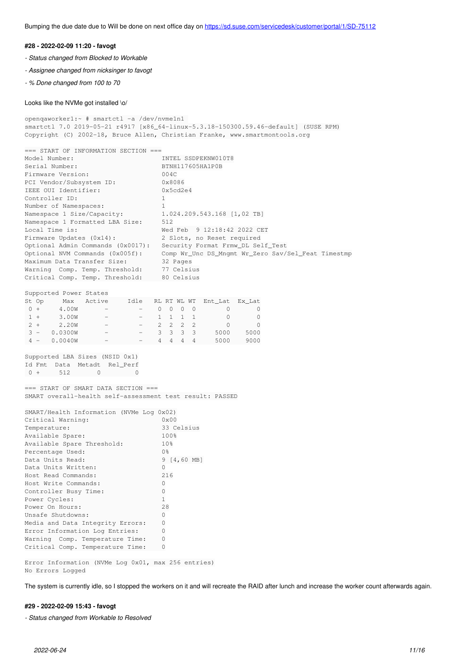Bumping the due date due to Will be done on next office day on<https://sd.suse.com/servicedesk/customer/portal/1/SD-75112>

#### **#28 - 2022-02-09 11:20 - favogt**

- *Status changed from Blocked to Workable*
- *Assignee changed from nicksinger to favogt*
- *% Done changed from 100 to 70*

#### Looks like the NVMe got installed \o/

```
openqaworker1:~ # smartctl -a /dev/nvme1n1 
smartctl 7.0 2019-05-21 r4917 [x86_64-linux-5.3.18-150300.59.46-default] (SUSE RPM)
Copyright (C) 2002-18, Bruce Allen, Christian Franke, www.smartmontools.org
=== START OF INFORMATION SECTION ===
Model Number:                       INTEL SSDPEKNW010T8
Serial Number: BTNH117605HA1P0B
Firmware Version: 004C<br>
PCI Vendor/Subsystem ID: 0x8086
PCI Vendor/Subsystem ID: 0x8086<br>IEEE OUI Identifier: 0x5cd2e4
IEEE OUI Identifier:
Controller ID: 1
Number of Namespaces: 1Namespace 1 Size/Capacity:          1.024.209.543.168 [1,02 TB]
Namespace 1 Formatted LBA Size: 512
Local Time is:                      Wed Feb  9 12:18:42 2022 CET
Firmware Updates (0x14):            2 Slots, no Reset required
Optional Admin Commands (0x0017):   Security Format Frmw_DL Self_Test
Optional NVM Commands (0x005f):     Comp Wr_Unc DS_Mngmt Wr_Zero Sav/Sel_Feat Timestmp
Maximum Data Transfer Size: 32 Pages
Warning Comp. Temp. Threshold: 77 Celsius
Critical Comp. Temp. Threshold:     80 Celsius
Supported Power States
St Op     Max   Active     Idle   RL RT WL WT  Ent_Lat  Ex_Lat
0 + 4.00W - - - 0 0 0 0 0 0 0 01 + 3.00W - - 1 1 1 1 0 0
2 + 2.20W - -222220 3 -   0.0300W       -        -    3  3  3  3     5000    5000
 4 -   0.0040W       -        -    4  4  4  4     5000    9000
Supported LBA Sizes (NSID 0x1)
Id Fmt  Data  Metadt  Rel_Perf
0 + 512 0 0
=== START OF SMART DATA SECTION ===
SMART overall-health self-assessment test result: PASSED
SMART/Health Information (NVMe Log 0x02)
Critical Warning: 0x00
Temperature:                        33 Celsius
Available Spare: 100\%<br>Available Spare Threshold: 10\%Available Spare Threshold:
Percentage Used: 0%
Data Units Read: 9 [4,60 MB]
Data Units Written: 0<br>Host Read Commands: 216
Host Read Commands: 21<br>
Host Write Commands: 0
Host Write Commands:                0
Controller Busy Time: 0
Power Cycles: 1
Power On Hours: 28
Unsafe Shutdowns: 0
Media and Data Integrity Errors: 0
Error Information Log Entries:      0
Warning  Comp. Temperature Time:    0
Critical Comp. Temperature Time: 0
Error Information (NVMe Log 0x01, max 256 entries)
No Errors Logged
```
The system is currently idle, so I stopped the workers on it and will recreate the RAID after lunch and increase the worker count afterwards again.

## **#29 - 2022-02-09 15:43 - favogt**

*- Status changed from Workable to Resolved*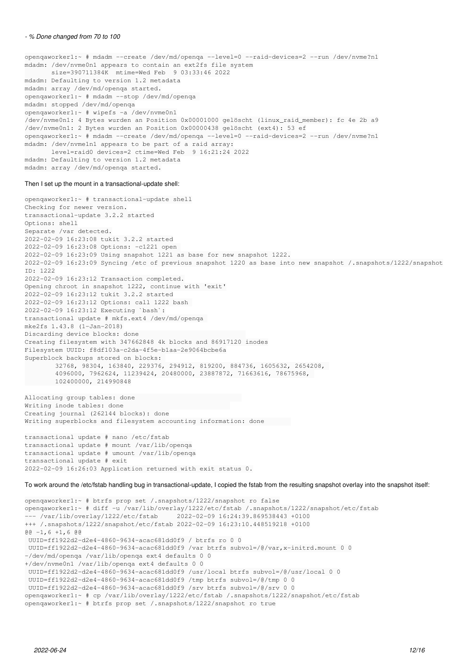#### *- % Done changed from 70 to 100*

openqaworker1:~ # mdadm --create /dev/md/openqa --level=0 --raid-devices=2 --run /dev/nvme?n1 mdadm: /dev/nvme0n1 appears to contain an ext2fs file system size=390711384K mtime=Wed Feb 9 03:33:46 2022 mdadm: Defaulting to version 1.2 metadata mdadm: array /dev/md/openqa started. openqaworker1:~ # mdadm --stop /dev/md/openqa mdadm: stopped /dev/md/openqa openqaworker1:~ # wipefs -a /dev/nvme0n1 /dev/nvme0n1: 4 Bytes wurden an Position 0x00001000 gelöscht (linux\_raid\_member): fc 4e 2b a9 /dev/nvme0n1: 2 Bytes wurden an Position 0x00000438 gelöscht (ext4): 53 ef openqaworker1:~ # mdadm --create /dev/md/openqa --level=0 --raid-devices=2 --run /dev/nvme?n1 mdadm: /dev/nvme1n1 appears to be part of a raid array: level=raid0 devices=2 ctime=Wed Feb 9 16:21:24 2022 mdadm: Defaulting to version 1.2 metadata mdadm: array /dev/md/openqa started.

#### Then I set up the mount in a transactional-update shell:

openqaworker1:~ # transactional-update shell Checking for newer version. transactional-update 3.2.2 started Options: shell Separate /var detected. 2022-02-09 16:23:08 tukit 3.2.2 started 2022-02-09 16:23:08 Options: -c1221 open 2022-02-09 16:23:09 Using snapshot 1221 as base for new snapshot 1222. 2022-02-09 16:23:09 Syncing /etc of previous snapshot 1220 as base into new snapshot /.snapshots/1222/snapshot ID: 1222 2022-02-09 16:23:12 Transaction completed. Opening chroot in snapshot 1222, continue with 'exit' 2022-02-09 16:23:12 tukit 3.2.2 started 2022-02-09 16:23:12 Options: call 1222 bash 2022-02-09 16:23:12 Executing `bash`: transactional update # mkfs.ext4 /dev/md/openqa mke2fs 1.43.8 (1-Jan-2018) Discarding device blocks: done Creating filesystem with 347662848 4k blocks and 86917120 inodes Filesystem UUID: f8df103a-c2da-4f5e-b1aa-2e9064bcbe6a Superblock backups stored on blocks: 32768, 98304, 163840, 229376, 294912, 819200, 884736, 1605632, 2654208, 4096000, 7962624, 11239424, 20480000, 23887872, 71663616, 78675968, 102400000, 214990848 Allocating group tables: done

Writing inode tables: done Creating journal (262144 blocks): done Writing superblocks and filesystem accounting information: done

transactional update # nano /etc/fstab transactional update # mount /var/lib/openqa transactional update # umount /var/lib/openqa transactional update # exit 2022-02-09 16:26:03 Application returned with exit status 0.

To work around the /etc/fstab handling bug in transactional-update, I copied the fstab from the resulting snapshot overlay into the snapshot itself:

```
openqaworker1:~ # btrfs prop set /.snapshots/1222/snapshot ro false
openqaworker1:~ # diff -u /var/lib/overlay/1222/etc/fstab /.snapshots/1222/snapshot/etc/fstab
--- /var/lib/overlay/1222/etc/fstab     2022-02-09 16:24:39.869538443 +0100
+++ /.snapshots/1222/snapshot/etc/fstab 2022-02-09 16:23:10.448519218 +0100
@@ -1, 6 +1, 6 @@ UUID=ff1922d2-d2e4-4860-9634-acac681dd0f9 / btrfs ro 0 0
 UUID=ff1922d2-d2e4-4860-9634-acac681dd0f9 /var btrfs subvol=/@/var,x-initrd.mount 0 0
-/dev/md/openqa /var/lib/openqa ext4 defaults 0 0
+/dev/nvme0n1 /var/lib/openqa ext4 defaults 0 0
 UUID=ff1922d2-d2e4-4860-9634-acac681dd0f9 /usr/local btrfs subvol=/@/usr/local 0 0
 UUID=ff1922d2-d2e4-4860-9634-acac681dd0f9 /tmp btrfs subvol=/@/tmp 0 0
 UUID=ff1922d2-d2e4-4860-9634-acac681dd0f9 /srv btrfs subvol=/@/srv 0 0
openqaworker1:~ # cp /var/lib/overlay/1222/etc/fstab /.snapshots/1222/snapshot/etc/fstab
openqaworker1:~ # btrfs prop set /.snapshots/1222/snapshot ro true
```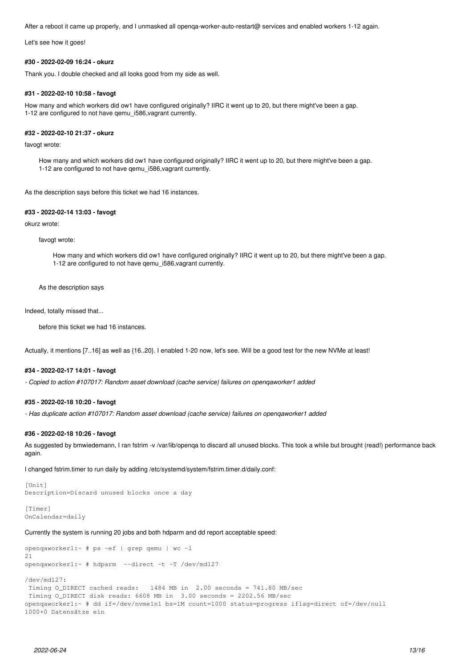After a reboot it came up properly, and I unmasked all openqa-worker-auto-restart@ services and enabled workers 1-12 again.

Let's see how it goes!

#### **#30 - 2022-02-09 16:24 - okurz**

Thank you. I double checked and all looks good from my side as well.

## **#31 - 2022-02-10 10:58 - favogt**

How many and which workers did ow1 have configured originally? IIRC it went up to 20, but there might've been a gap. 1-12 are configured to not have qemu\_i586,vagrant currently.

## **#32 - 2022-02-10 21:37 - okurz**

favogt wrote:

How many and which workers did ow1 have configured originally? IIRC it went up to 20, but there might've been a gap. 1-12 are configured to not have qemu\_i586,vagrant currently.

As the description says before this ticket we had 16 instances.

## **#33 - 2022-02-14 13:03 - favogt**

okurz wrote:

favogt wrote:

How many and which workers did ow1 have configured originally? IIRC it went up to 20, but there might've been a gap. 1-12 are configured to not have qemu\_i586,vagrant currently.

As the description says

Indeed, totally missed that...

before this ticket we had 16 instances.

Actually, it mentions [7..16] as well as {16..20}. I enabled 1-20 now, let's see. Will be a good test for the new NVMe at least!

## **#34 - 2022-02-17 14:01 - favogt**

*- Copied to action #107017: Random asset download (cache service) failures on openqaworker1 added*

## **#35 - 2022-02-18 10:20 - favogt**

*- Has duplicate action #107017: Random asset download (cache service) failures on openqaworker1 added*

#### **#36 - 2022-02-18 10:26 - favogt**

As suggested by bmwiedemann, I ran fstrim -v /var/lib/openqa to discard all unused blocks. This took a while but brought (read!) performance back again.

I changed fstrim.timer to run daily by adding /etc/systemd/system/fstrim.timer.d/daily.conf:

```
[Unit]
Description=Discard unused blocks once a day
```
[Timer] OnCalendar=daily

Currently the system is running 20 jobs and both hdparm and dd report acceptable speed:

```
openqaworker1:~ # ps -ef | grep qemu | wc -l
21
openqaworker1:~ # hdparm  --direct -t -T /dev/md127
```

```
/dev/md127:
```

```
 Timing O_DIRECT cached reads:   1484 MB in  2.00 seconds = 741.80 MB/sec
 Timing O_DIRECT disk reads: 6608 MB in  3.00 seconds = 2202.56 MB/sec
openqaworker1:~ # dd if=/dev/nvme1n1 bs=1M count=1000 status=progress iflag=direct of=/dev/null
1000+0 Datensätze ein
```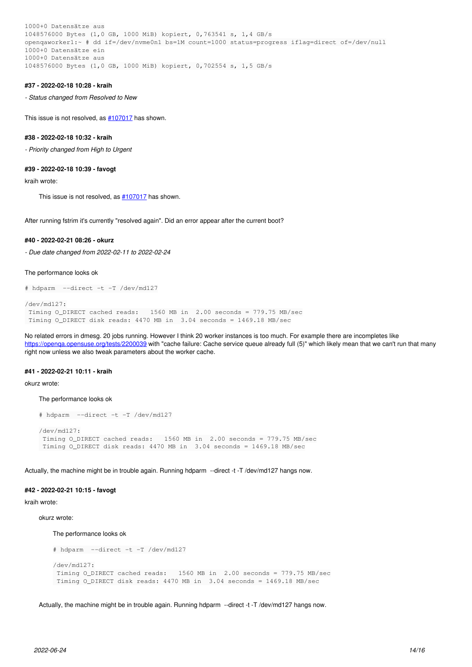1000+0 Datensätze aus 1048576000 Bytes (1,0 GB, 1000 MiB) kopiert, 0,763541 s, 1,4 GB/s openqaworker1:~ # dd if=/dev/nvme0n1 bs=1M count=1000 status=progress iflag=direct of=/dev/null 1000+0 Datensätze ein 1000+0 Datensätze aus 1048576000 Bytes (1,0 GB, 1000 MiB) kopiert, 0,702554 s, 1,5 GB/s

#### **#37 - 2022-02-18 10:28 - kraih**

*- Status changed from Resolved to New*

This issue is not resolved, as [#107017](https://progress.opensuse.org/issues/107017) has shown.

## **#38 - 2022-02-18 10:32 - kraih**

*- Priority changed from High to Urgent*

#### **#39 - 2022-02-18 10:39 - favogt**

kraih wrote:

This issue is not resolved, as  $\#107017$  $\#107017$  has shown.

After running fstrim it's currently "resolved again". Did an error appear after the current boot?

## **#40 - 2022-02-21 08:26 - okurz**

*- Due date changed from 2022-02-11 to 2022-02-24*

The performance looks ok

```
# hdparm  --direct -t -T /dev/md127
```

```
/dev/md127:
 Timing O_DIRECT cached reads:   1560 MB in  2.00 seconds = 779.75 MB/sec
 Timing O_DIRECT disk reads: 4470 MB in  3.04 seconds = 1469.18 MB/sec
```
No related errors in dmesg. 20 jobs running. However I think 20 worker instances is too much. For example there are incompletes like <https://openqa.opensuse.org/tests/2200039> with "cache failure: Cache service queue already full (5)" which likely mean that we can't run that many right now unless we also tweak parameters about the worker cache.

## **#41 - 2022-02-21 10:11 - kraih**

okurz wrote:

#### The performance looks ok

```
# hdparm  --direct -t -T /dev/md127
/dev/md127:
Timing O_DIRECT cached reads: 1560 MB in 2.00 seconds = 779.75 MB/sec
 Timing O_DIRECT disk reads: 4470 MB in  3.04 seconds = 1469.18 MB/sec
```
Actually, the machine might be in trouble again. Running hdparm --direct -t -T /dev/md127 hangs now.

## **#42 - 2022-02-21 10:15 - favogt**

kraih wrote:

okurz wrote:

The performance looks ok

```
# hdparm  --direct -t -T /dev/md127
/dev/md127:
 Timing O_DIRECT cached reads:   1560 MB in  2.00 seconds = 779.75 MB/sec
 Timing O_DIRECT disk reads: 4470 MB in  3.04 seconds = 1469.18 MB/sec
```
Actually, the machine might be in trouble again. Running hdparm --direct -t -T /dev/md127 hangs now.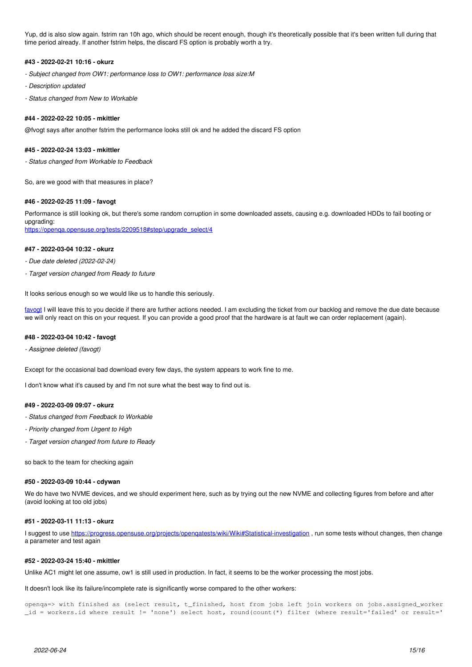Yup, dd is also slow again. fstrim ran 10h ago, which should be recent enough, though it's theoretically possible that it's been written full during that time period already. If another fstrim helps, the discard FS option is probably worth a try.

## **#43 - 2022-02-21 10:16 - okurz**

- *Subject changed from OW1: performance loss to OW1: performance loss size:M*
- *Description updated*
- *Status changed from New to Workable*

## **#44 - 2022-02-22 10:05 - mkittler**

@fvogt says after another fstrim the performance looks still ok and he added the discard FS option

## **#45 - 2022-02-24 13:03 - mkittler**

*- Status changed from Workable to Feedback*

So, are we good with that measures in place?

#### **#46 - 2022-02-25 11:09 - favogt**

Performance is still looking ok, but there's some random corruption in some downloaded assets, causing e.g. downloaded HDDs to fail booting or upgrading: [https://openqa.opensuse.org/tests/2209518#step/upgrade\\_select/4](https://openqa.opensuse.org/tests/2209518#step/upgrade_select/4)

#### **#47 - 2022-03-04 10:32 - okurz**

*- Due date deleted (2022-02-24)*

*- Target version changed from Ready to future*

It looks serious enough so we would like us to handle this seriously.

[favogt](progress.opensuse.org/users/20030) I will leave this to you decide if there are further actions needed. I am excluding the ticket from our backlog and remove the due date because we will only react on this on your request. If you can provide a good proof that the hardware is at fault we can order replacement (again).

#### **#48 - 2022-03-04 10:42 - favogt**

*- Assignee deleted (favogt)*

Except for the occasional bad download every few days, the system appears to work fine to me.

I don't know what it's caused by and I'm not sure what the best way to find out is.

## **#49 - 2022-03-09 09:07 - okurz**

- *Status changed from Feedback to Workable*
- *Priority changed from Urgent to High*
- *Target version changed from future to Ready*

so back to the team for checking again

#### **#50 - 2022-03-09 10:44 - cdywan**

We do have two NVME devices, and we should experiment here, such as by trying out the new NVME and collecting figures from before and after (avoid looking at too old jobs)

### **#51 - 2022-03-11 11:13 - okurz**

I suggest to use <https://progress.opensuse.org/projects/openqatests/wiki/Wiki#Statistical-investigation>, run some tests without changes, then change a parameter and test again

## **#52 - 2022-03-24 15:40 - mkittler**

Unlike AC1 might let one assume, ow1 is still used in production. In fact, it seems to be the worker processing the most jobs.

It doesn't look like its failure/incomplete rate is significantly worse compared to the other workers:

openqa=> with finished as (select result, t\_finished, host from jobs left join workers on jobs.assigned\_worker \_id = workers.id where result != 'none') select host, round(count(\*) filter (where result='failed' or result='